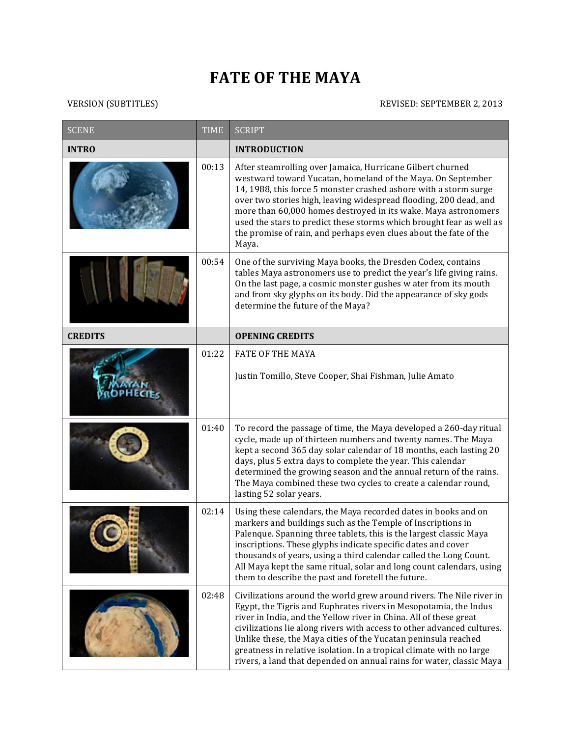## **FATE OF THE MAYA**

## VERSION (SUBTITLES) REVISED: SEPTEMBER 2, 2013

| <b>SCENE</b>   | <b>TIME</b> | <b>SCRIPT</b>                                                                                                                                                                                                                                                                                                                                                                                                                                                                                             |
|----------------|-------------|-----------------------------------------------------------------------------------------------------------------------------------------------------------------------------------------------------------------------------------------------------------------------------------------------------------------------------------------------------------------------------------------------------------------------------------------------------------------------------------------------------------|
| <b>INTRO</b>   |             | <b>INTRODUCTION</b>                                                                                                                                                                                                                                                                                                                                                                                                                                                                                       |
|                | 00:13       | After steamrolling over Jamaica, Hurricane Gilbert churned<br>westward toward Yucatan, homeland of the Maya. On September<br>14, 1988, this force 5 monster crashed ashore with a storm surge<br>over two stories high, leaving widespread flooding, 200 dead, and<br>more than 60,000 homes destroyed in its wake. Maya astronomers<br>used the stars to predict these storms which brought fear as well as<br>the promise of rain, and perhaps even clues about the fate of the<br>Maya.                |
|                | 00:54       | One of the surviving Maya books, the Dresden Codex, contains<br>tables Maya astronomers use to predict the year's life giving rains.<br>On the last page, a cosmic monster gushes w ater from its mouth<br>and from sky glyphs on its body. Did the appearance of sky gods<br>determine the future of the Maya?                                                                                                                                                                                           |
| <b>CREDITS</b> |             | <b>OPENING CREDITS</b>                                                                                                                                                                                                                                                                                                                                                                                                                                                                                    |
|                | 01:22       | <b>FATE OF THE MAYA</b><br>Justin Tomillo, Steve Cooper, Shai Fishman, Julie Amato                                                                                                                                                                                                                                                                                                                                                                                                                        |
|                | 01:40       | To record the passage of time, the Maya developed a 260-day ritual<br>cycle, made up of thirteen numbers and twenty names. The Maya<br>kept a second 365 day solar calendar of 18 months, each lasting 20<br>days, plus 5 extra days to complete the year. This calendar<br>determined the growing season and the annual return of the rains.<br>The Maya combined these two cycles to create a calendar round,<br>lasting 52 solar years.                                                                |
|                | 02:14       | Using these calendars, the Maya recorded dates in books and on<br>markers and buildings such as the Temple of Inscriptions in<br>Palenque. Spanning three tablets, this is the largest classic Maya<br>inscriptions. These glyphs indicate specific dates and cover<br>thousands of years, using a third calendar called the Long Count.<br>All Maya kept the same ritual, solar and long count calendars, using<br>them to describe the past and foretell the future.                                    |
|                | 02:48       | Civilizations around the world grew around rivers. The Nile river in<br>Egypt, the Tigris and Euphrates rivers in Mesopotamia, the Indus<br>river in India, and the Yellow river in China. All of these great<br>civilizations lie along rivers with access to other advanced cultures.<br>Unlike these, the Maya cities of the Yucatan peninsula reached<br>greatness in relative isolation. In a tropical climate with no large<br>rivers, a land that depended on annual rains for water, classic Maya |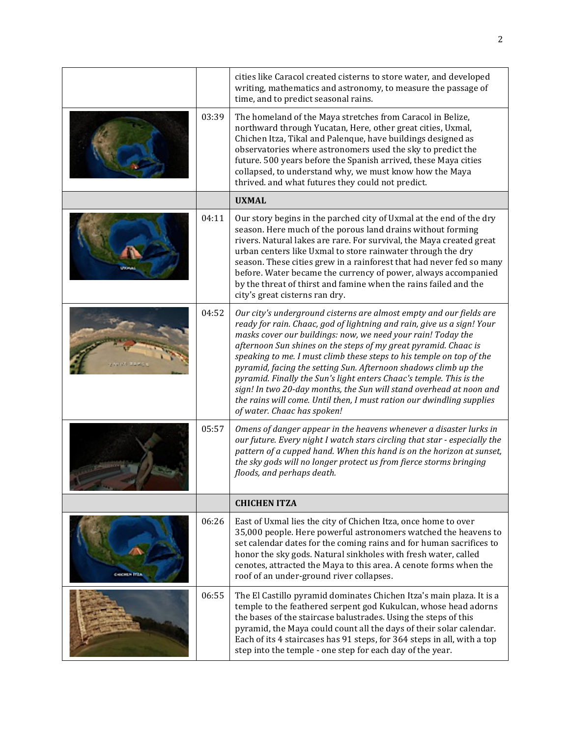|                   |       | cities like Caracol created cisterns to store water, and developed<br>writing, mathematics and astronomy, to measure the passage of<br>time, and to predict seasonal rains.                                                                                                                                                                                                                                                                                                                                                                                                                                                                                                       |
|-------------------|-------|-----------------------------------------------------------------------------------------------------------------------------------------------------------------------------------------------------------------------------------------------------------------------------------------------------------------------------------------------------------------------------------------------------------------------------------------------------------------------------------------------------------------------------------------------------------------------------------------------------------------------------------------------------------------------------------|
|                   | 03:39 | The homeland of the Maya stretches from Caracol in Belize,<br>northward through Yucatan, Here, other great cities, Uxmal,<br>Chichen Itza, Tikal and Palenque, have buildings designed as<br>observatories where astronomers used the sky to predict the<br>future. 500 years before the Spanish arrived, these Maya cities<br>collapsed, to understand why, we must know how the Maya<br>thrived. and what futures they could not predict.                                                                                                                                                                                                                                       |
|                   |       | <b>UXMAL</b>                                                                                                                                                                                                                                                                                                                                                                                                                                                                                                                                                                                                                                                                      |
|                   | 04:11 | Our story begins in the parched city of Uxmal at the end of the dry<br>season. Here much of the porous land drains without forming<br>rivers. Natural lakes are rare. For survival, the Maya created great<br>urban centers like Uxmal to store rainwater through the dry<br>season. These cities grew in a rainforest that had never fed so many<br>before. Water became the currency of power, always accompanied<br>by the threat of thirst and famine when the rains failed and the<br>city's great cisterns ran dry.                                                                                                                                                         |
|                   | 04:52 | Our city's underground cisterns are almost empty and our fields are<br>ready for rain. Chaac, god of lightning and rain, give us a sign! Your<br>masks cover our buildings: now, we need your rain! Today the<br>afternoon Sun shines on the steps of my great pyramid. Chaac is<br>speaking to me. I must climb these steps to his temple on top of the<br>pyramid, facing the setting Sun. Afternoon shadows climb up the<br>pyramid. Finally the Sun's light enters Chaac's temple. This is the<br>sign! In two 20-day months, the Sun will stand overhead at noon and<br>the rains will come. Until then, I must ration our dwindling supplies<br>of water. Chaac has spoken! |
|                   | 05:57 | Omens of danger appear in the heavens whenever a disaster lurks in<br>our future. Every night I watch stars circling that star - especially the<br>pattern of a cupped hand. When this hand is on the horizon at sunset,<br>the sky gods will no longer protect us from fierce storms bringing<br>floods, and perhaps death.                                                                                                                                                                                                                                                                                                                                                      |
|                   |       | <b>CHICHEN ITZA</b>                                                                                                                                                                                                                                                                                                                                                                                                                                                                                                                                                                                                                                                               |
| <b>CHICHERITZ</b> | 06:26 | East of Uxmal lies the city of Chichen Itza, once home to over<br>35,000 people. Here powerful astronomers watched the heavens to<br>set calendar dates for the coming rains and for human sacrifices to<br>honor the sky gods. Natural sinkholes with fresh water, called<br>cenotes, attracted the Maya to this area. A cenote forms when the<br>roof of an under-ground river collapses.                                                                                                                                                                                                                                                                                       |
|                   | 06:55 | The El Castillo pyramid dominates Chichen Itza's main plaza. It is a<br>temple to the feathered serpent god Kukulcan, whose head adorns<br>the bases of the staircase balustrades. Using the steps of this<br>pyramid, the Maya could count all the days of their solar calendar.<br>Each of its 4 staircases has 91 steps, for 364 steps in all, with a top<br>step into the temple - one step for each day of the year.                                                                                                                                                                                                                                                         |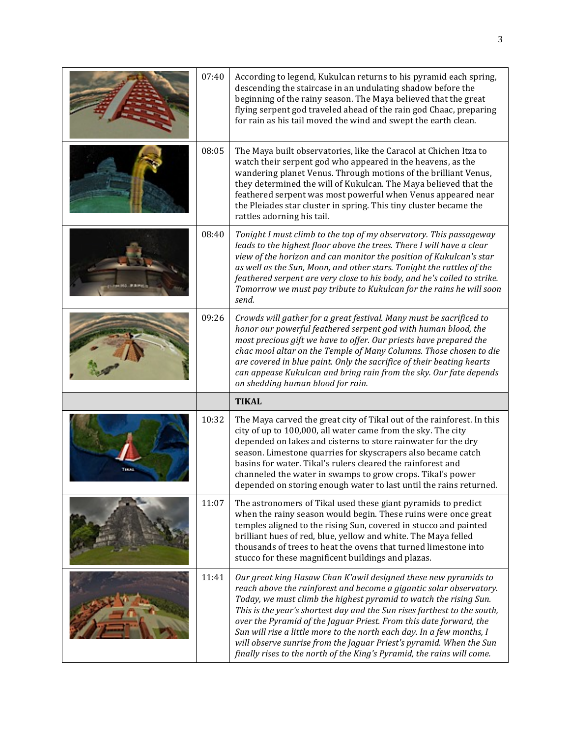| 07:40 | According to legend, Kukulcan returns to his pyramid each spring,<br>descending the staircase in an undulating shadow before the<br>beginning of the rainy season. The Maya believed that the great<br>flying serpent god traveled ahead of the rain god Chaac, preparing<br>for rain as his tail moved the wind and swept the earth clean.                                                                                                                                |
|-------|----------------------------------------------------------------------------------------------------------------------------------------------------------------------------------------------------------------------------------------------------------------------------------------------------------------------------------------------------------------------------------------------------------------------------------------------------------------------------|
| 08:05 | The Maya built observatories, like the Caracol at Chichen Itza to<br>watch their serpent god who appeared in the heavens, as the<br>wandering planet Venus. Through motions of the brilliant Venus,<br>they determined the will of Kukulcan. The Maya believed that the<br>feathered serpent was most powerful when Venus appeared near<br>the Pleiades star cluster in spring. This tiny cluster became the<br>rattles adorning his tail.                                 |
| 08:40 | Tonight I must climb to the top of my observatory. This passageway<br>leads to the highest floor above the trees. There I will have a clear<br>view of the horizon and can monitor the position of Kukulcan's star<br>as well as the Sun, Moon, and other stars. Tonight the rattles of the<br>feathered serpent are very close to his body, and he's coiled to strike.<br>Tomorrow we must pay tribute to Kukulcan for the rains he will soon<br>send.                    |
| 09:26 | Crowds will gather for a great festival. Many must be sacrificed to<br>honor our powerful feathered serpent god with human blood, the<br>most precious gift we have to offer. Our priests have prepared the<br>chac mool altar on the Temple of Many Columns. Those chosen to die<br>are covered in blue paint. Only the sacrifice of their beating hearts<br>can appease Kukulcan and bring rain from the sky. Our fate depends                                           |
|       | on shedding human blood for rain.                                                                                                                                                                                                                                                                                                                                                                                                                                          |
|       | <b>TIKAL</b>                                                                                                                                                                                                                                                                                                                                                                                                                                                               |
| 10:32 | The Maya carved the great city of Tikal out of the rainforest. In this<br>city of up to 100,000, all water came from the sky. The city<br>depended on lakes and cisterns to store rainwater for the dry<br>season. Limestone quarries for skyscrapers also became catch<br>basins for water. Tikal's rulers cleared the rainforest and<br>channeled the water in swamps to grow crops. Tikal's power<br>depended on storing enough water to last until the rains returned. |
| 11:07 | The astronomers of Tikal used these giant pyramids to predict<br>when the rainy season would begin. These ruins were once great<br>temples aligned to the rising Sun, covered in stucco and painted<br>brilliant hues of red, blue, yellow and white. The Maya felled<br>thousands of trees to heat the ovens that turned limestone into<br>stucco for these magnificent buildings and plazas.                                                                             |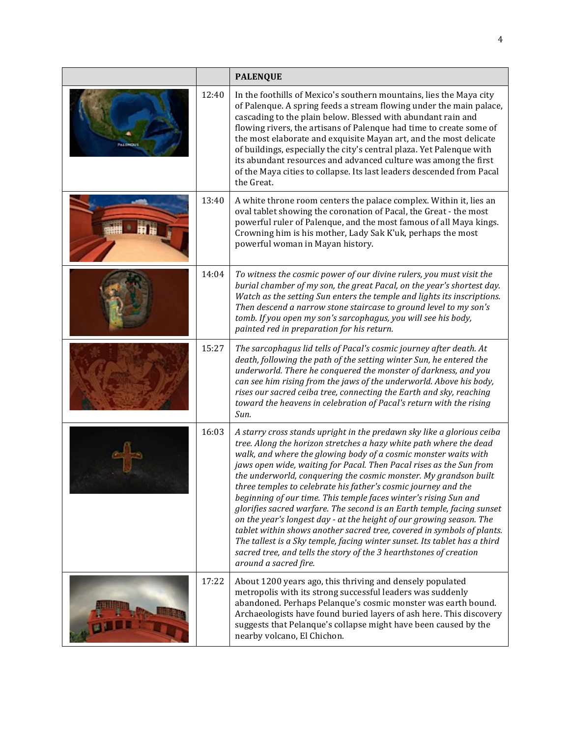|                   |       | <b>PALENQUE</b>                                                                                                                                                                                                                                                                                                                                                                                                                                                                                                                                                                                                                                                                                                                                                                                                                                                                                          |
|-------------------|-------|----------------------------------------------------------------------------------------------------------------------------------------------------------------------------------------------------------------------------------------------------------------------------------------------------------------------------------------------------------------------------------------------------------------------------------------------------------------------------------------------------------------------------------------------------------------------------------------------------------------------------------------------------------------------------------------------------------------------------------------------------------------------------------------------------------------------------------------------------------------------------------------------------------|
| <b>WASHINGTON</b> | 12:40 | In the foothills of Mexico's southern mountains, lies the Maya city<br>of Palenque. A spring feeds a stream flowing under the main palace,<br>cascading to the plain below. Blessed with abundant rain and<br>flowing rivers, the artisans of Palenque had time to create some of<br>the most elaborate and exquisite Mayan art, and the most delicate<br>of buildings, especially the city's central plaza. Yet Palenque with<br>its abundant resources and advanced culture was among the first<br>of the Maya cities to collapse. Its last leaders descended from Pacal<br>the Great.                                                                                                                                                                                                                                                                                                                 |
|                   | 13:40 | A white throne room centers the palace complex. Within it, lies an<br>oval tablet showing the coronation of Pacal, the Great - the most<br>powerful ruler of Palenque, and the most famous of all Maya kings.<br>Crowning him is his mother, Lady Sak K'uk, perhaps the most<br>powerful woman in Mayan history.                                                                                                                                                                                                                                                                                                                                                                                                                                                                                                                                                                                         |
|                   | 14:04 | To witness the cosmic power of our divine rulers, you must visit the<br>burial chamber of my son, the great Pacal, on the year's shortest day.<br>Watch as the setting Sun enters the temple and lights its inscriptions.<br>Then descend a narrow stone staircase to ground level to my son's<br>tomb. If you open my son's sarcophagus, you will see his body,<br>painted red in preparation for his return.                                                                                                                                                                                                                                                                                                                                                                                                                                                                                           |
|                   | 15:27 | The sarcophagus lid tells of Pacal's cosmic journey after death. At<br>death, following the path of the setting winter Sun, he entered the<br>underworld. There he conquered the monster of darkness, and you<br>can see him rising from the jaws of the underworld. Above his body,<br>rises our sacred ceiba tree, connecting the Earth and sky, reaching<br>toward the heavens in celebration of Pacal's return with the rising<br>Sun.                                                                                                                                                                                                                                                                                                                                                                                                                                                               |
|                   | 16:03 | A starry cross stands upright in the predawn sky like a glorious ceiba<br>tree. Along the horizon stretches a hazy white path where the dead<br>walk, and where the glowing body of a cosmic monster waits with<br>jaws open wide, waiting for Pacal. Then Pacal rises as the Sun from<br>the underworld, conquering the cosmic monster. My grandson built<br>three temples to celebrate his father's cosmic journey and the<br>beginning of our time. This temple faces winter's rising Sun and<br>glorifies sacred warfare. The second is an Earth temple, facing sunset<br>on the year's longest day - at the height of our growing season. The<br>tablet within shows another sacred tree, covered in symbols of plants.<br>The tallest is a Sky temple, facing winter sunset. Its tablet has a third<br>sacred tree, and tells the story of the 3 hearthstones of creation<br>around a sacred fire. |
|                   | 17:22 | About 1200 years ago, this thriving and densely populated<br>metropolis with its strong successful leaders was suddenly<br>abandoned. Perhaps Pelanque's cosmic monster was earth bound.<br>Archaeologists have found buried layers of ash here. This discovery<br>suggests that Pelanque's collapse might have been caused by the<br>nearby volcano, El Chichon.                                                                                                                                                                                                                                                                                                                                                                                                                                                                                                                                        |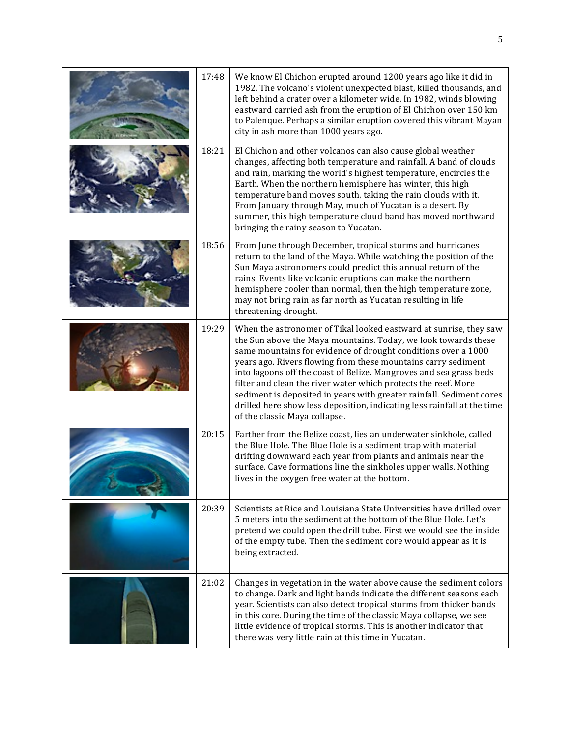| 17:48 | We know El Chichon erupted around 1200 years ago like it did in<br>1982. The volcano's violent unexpected blast, killed thousands, and<br>left behind a crater over a kilometer wide. In 1982, winds blowing<br>eastward carried ash from the eruption of El Chichon over 150 km<br>to Palenque. Perhaps a similar eruption covered this vibrant Mayan<br>city in ash more than 1000 years ago.                                                                                                                                                                                                   |
|-------|---------------------------------------------------------------------------------------------------------------------------------------------------------------------------------------------------------------------------------------------------------------------------------------------------------------------------------------------------------------------------------------------------------------------------------------------------------------------------------------------------------------------------------------------------------------------------------------------------|
| 18:21 | El Chichon and other volcanos can also cause global weather<br>changes, affecting both temperature and rainfall. A band of clouds<br>and rain, marking the world's highest temperature, encircles the<br>Earth. When the northern hemisphere has winter, this high<br>temperature band moves south, taking the rain clouds with it.<br>From January through May, much of Yucatan is a desert. By<br>summer, this high temperature cloud band has moved northward<br>bringing the rainy season to Yucatan.                                                                                         |
| 18:56 | From June through December, tropical storms and hurricanes<br>return to the land of the Maya. While watching the position of the<br>Sun Maya astronomers could predict this annual return of the<br>rains. Events like volcanic eruptions can make the northern<br>hemisphere cooler than normal, then the high temperature zone,<br>may not bring rain as far north as Yucatan resulting in life<br>threatening drought.                                                                                                                                                                         |
| 19:29 | When the astronomer of Tikal looked eastward at sunrise, they saw<br>the Sun above the Maya mountains. Today, we look towards these<br>same mountains for evidence of drought conditions over a 1000<br>years ago. Rivers flowing from these mountains carry sediment<br>into lagoons off the coast of Belize. Mangroves and sea grass beds<br>filter and clean the river water which protects the reef. More<br>sediment is deposited in years with greater rainfall. Sediment cores<br>drilled here show less deposition, indicating less rainfall at the time<br>of the classic Maya collapse. |
| 20:15 | Farther from the Belize coast, lies an underwater sinkhole, called<br>the Blue Hole. The Blue Hole is a sediment trap with material<br>drifting downward each year from plants and animals near the<br>surface. Cave formations line the sinkholes upper walls. Nothing<br>lives in the oxygen free water at the bottom.                                                                                                                                                                                                                                                                          |
| 20:39 | Scientists at Rice and Louisiana State Universities have drilled over<br>5 meters into the sediment at the bottom of the Blue Hole. Let's<br>pretend we could open the drill tube. First we would see the inside<br>of the empty tube. Then the sediment core would appear as it is<br>being extracted.                                                                                                                                                                                                                                                                                           |
| 21:02 | Changes in vegetation in the water above cause the sediment colors<br>to change. Dark and light bands indicate the different seasons each<br>year. Scientists can also detect tropical storms from thicker bands<br>in this core. During the time of the classic Maya collapse, we see<br>little evidence of tropical storms. This is another indicator that<br>there was very little rain at this time in Yucatan.                                                                                                                                                                               |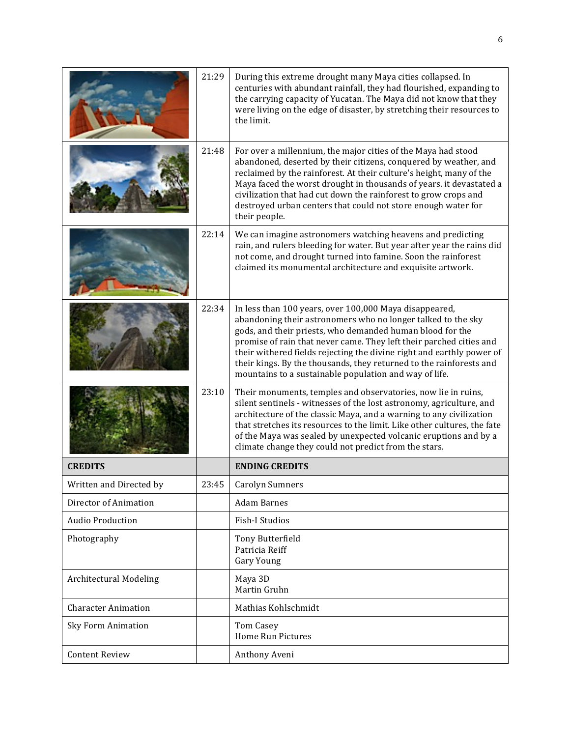|                               | 21:29 | During this extreme drought many Maya cities collapsed. In<br>centuries with abundant rainfall, they had flourished, expanding to<br>the carrying capacity of Yucatan. The Maya did not know that they<br>were living on the edge of disaster, by stretching their resources to<br>the limit.                                                                                                                                                                        |
|-------------------------------|-------|----------------------------------------------------------------------------------------------------------------------------------------------------------------------------------------------------------------------------------------------------------------------------------------------------------------------------------------------------------------------------------------------------------------------------------------------------------------------|
|                               | 21:48 | For over a millennium, the major cities of the Maya had stood<br>abandoned, deserted by their citizens, conquered by weather, and<br>reclaimed by the rainforest. At their culture's height, many of the<br>Maya faced the worst drought in thousands of years. it devastated a<br>civilization that had cut down the rainforest to grow crops and<br>destroyed urban centers that could not store enough water for<br>their people.                                 |
|                               | 22:14 | We can imagine astronomers watching heavens and predicting<br>rain, and rulers bleeding for water. But year after year the rains did<br>not come, and drought turned into famine. Soon the rainforest<br>claimed its monumental architecture and exquisite artwork.                                                                                                                                                                                                  |
|                               | 22:34 | In less than 100 years, over 100,000 Maya disappeared,<br>abandoning their astronomers who no longer talked to the sky<br>gods, and their priests, who demanded human blood for the<br>promise of rain that never came. They left their parched cities and<br>their withered fields rejecting the divine right and earthly power of<br>their kings. By the thousands, they returned to the rainforests and<br>mountains to a sustainable population and way of life. |
|                               | 23:10 | Their monuments, temples and observatories, now lie in ruins,<br>silent sentinels - witnesses of the lost astronomy, agriculture, and<br>architecture of the classic Maya, and a warning to any civilization<br>that stretches its resources to the limit. Like other cultures, the fate<br>of the Maya was sealed by unexpected volcanic eruptions and by a<br>climate change they could not predict from the stars.                                                |
| <b>CREDITS</b>                |       | <b>ENDING CREDITS</b>                                                                                                                                                                                                                                                                                                                                                                                                                                                |
| Written and Directed by       | 23:45 | <b>Carolyn Sumners</b>                                                                                                                                                                                                                                                                                                                                                                                                                                               |
| Director of Animation         |       | <b>Adam Barnes</b>                                                                                                                                                                                                                                                                                                                                                                                                                                                   |
| <b>Audio Production</b>       |       | Fish-I Studios                                                                                                                                                                                                                                                                                                                                                                                                                                                       |
| Photography                   |       | Tony Butterfield<br>Patricia Reiff<br><b>Gary Young</b>                                                                                                                                                                                                                                                                                                                                                                                                              |
| <b>Architectural Modeling</b> |       | Maya 3D<br>Martin Gruhn                                                                                                                                                                                                                                                                                                                                                                                                                                              |
| <b>Character Animation</b>    |       | Mathias Kohlschmidt                                                                                                                                                                                                                                                                                                                                                                                                                                                  |
| <b>Sky Form Animation</b>     |       | <b>Tom Casey</b><br>Home Run Pictures                                                                                                                                                                                                                                                                                                                                                                                                                                |
| <b>Content Review</b>         |       | Anthony Aveni                                                                                                                                                                                                                                                                                                                                                                                                                                                        |